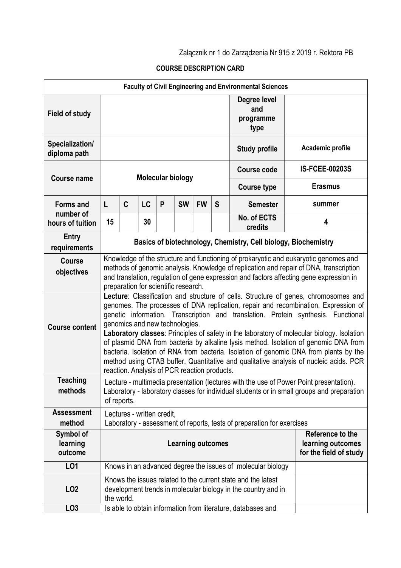## Załącznik nr 1 do Zarządzenia Nr 915 z 2019 r. Rektora PB

## COURSE DESCRIPTION CARD

| <b>Faculty of Civil Engineering and Environmental Sciences</b> |                                                                                                                                                                                                                                                                                                                                                                                                                                                                                                                                                                                                                                                                                                                          |                                                             |           |   |           |           |   |                                          |                       |  |
|----------------------------------------------------------------|--------------------------------------------------------------------------------------------------------------------------------------------------------------------------------------------------------------------------------------------------------------------------------------------------------------------------------------------------------------------------------------------------------------------------------------------------------------------------------------------------------------------------------------------------------------------------------------------------------------------------------------------------------------------------------------------------------------------------|-------------------------------------------------------------|-----------|---|-----------|-----------|---|------------------------------------------|-----------------------|--|
| <b>Field of study</b>                                          |                                                                                                                                                                                                                                                                                                                                                                                                                                                                                                                                                                                                                                                                                                                          |                                                             |           |   |           |           |   | Degree level<br>and<br>programme<br>type |                       |  |
| Specialization/<br>diploma path                                | <b>Study profile</b>                                                                                                                                                                                                                                                                                                                                                                                                                                                                                                                                                                                                                                                                                                     |                                                             |           |   |           |           |   |                                          | Academic profile      |  |
| <b>Course name</b>                                             | <b>Molecular biology</b>                                                                                                                                                                                                                                                                                                                                                                                                                                                                                                                                                                                                                                                                                                 |                                                             |           |   |           |           |   | <b>Course code</b>                       | <b>IS-FCEE-00203S</b> |  |
|                                                                |                                                                                                                                                                                                                                                                                                                                                                                                                                                                                                                                                                                                                                                                                                                          |                                                             |           |   |           |           |   | <b>Course type</b>                       | <b>Erasmus</b>        |  |
| <b>Forms and</b><br>number of<br>hours of tuition              | L                                                                                                                                                                                                                                                                                                                                                                                                                                                                                                                                                                                                                                                                                                                        | C                                                           | <b>LC</b> | P | <b>SW</b> | <b>FW</b> | S | <b>Semester</b>                          | summer                |  |
|                                                                | 15                                                                                                                                                                                                                                                                                                                                                                                                                                                                                                                                                                                                                                                                                                                       |                                                             | 30        |   |           |           |   | No. of ECTS<br>credits                   | 4                     |  |
| Entry<br>requirements                                          | Basics of biotechnology, Chemistry, Cell biology, Biochemistry                                                                                                                                                                                                                                                                                                                                                                                                                                                                                                                                                                                                                                                           |                                                             |           |   |           |           |   |                                          |                       |  |
| Course<br>objectives                                           | Knowledge of the structure and functioning of prokaryotic and eukaryotic genomes and<br>methods of genomic analysis. Knowledge of replication and repair of DNA, transcription<br>and translation, regulation of gene expression and factors affecting gene expression in<br>preparation for scientific research.                                                                                                                                                                                                                                                                                                                                                                                                        |                                                             |           |   |           |           |   |                                          |                       |  |
| <b>Course content</b>                                          | Lecture: Classification and structure of cells. Structure of genes, chromosomes and<br>genomes. The processes of DNA replication, repair and recombination. Expression of<br>genetic information. Transcription and translation. Protein synthesis. Functional<br>genomics and new technologies.<br>Laboratory classes: Principles of safety in the laboratory of molecular biology. Isolation<br>of plasmid DNA from bacteria by alkaline lysis method. Isolation of genomic DNA from<br>bacteria. Isolation of RNA from bacteria. Isolation of genomic DNA from plants by the<br>method using CTAB buffer. Quantitative and qualitative analysis of nucleic acids. PCR<br>reaction. Analysis of PCR reaction products. |                                                             |           |   |           |           |   |                                          |                       |  |
| <b>Teaching</b><br>methods                                     | Lecture - multimedia presentation (lectures with the use of Power Point presentation).<br>Laboratory - laboratory classes for individual students or in small groups and preparation<br>of reports.                                                                                                                                                                                                                                                                                                                                                                                                                                                                                                                      |                                                             |           |   |           |           |   |                                          |                       |  |
| <b>Assessment</b><br>method                                    | Lectures - written credit,<br>Laboratory - assessment of reports, tests of preparation for exercises                                                                                                                                                                                                                                                                                                                                                                                                                                                                                                                                                                                                                     |                                                             |           |   |           |           |   |                                          |                       |  |
| Symbol of<br>learning<br>outcome                               | Reference to the<br><b>Learning outcomes</b><br>learning outcomes<br>for the field of study                                                                                                                                                                                                                                                                                                                                                                                                                                                                                                                                                                                                                              |                                                             |           |   |           |           |   |                                          |                       |  |
| L01                                                            |                                                                                                                                                                                                                                                                                                                                                                                                                                                                                                                                                                                                                                                                                                                          | Knows in an advanced degree the issues of molecular biology |           |   |           |           |   |                                          |                       |  |
| LO <sub>2</sub>                                                | Knows the issues related to the current state and the latest<br>development trends in molecular biology in the country and in<br>the world.                                                                                                                                                                                                                                                                                                                                                                                                                                                                                                                                                                              |                                                             |           |   |           |           |   |                                          |                       |  |
| LO <sub>3</sub>                                                | Is able to obtain information from literature, databases and                                                                                                                                                                                                                                                                                                                                                                                                                                                                                                                                                                                                                                                             |                                                             |           |   |           |           |   |                                          |                       |  |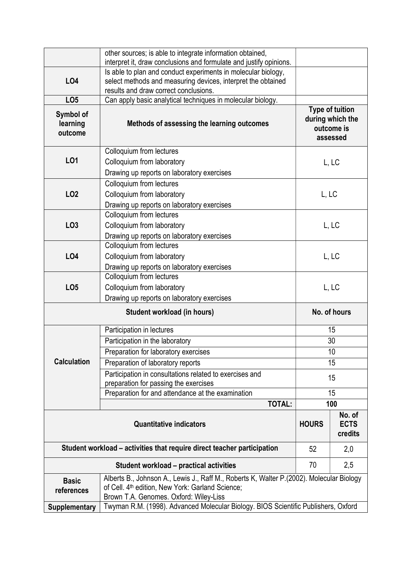|                                                                                                                                                                                                                                  | other sources; is able to integrate information obtained,                                                                           |                                                                      |     |  |  |  |
|----------------------------------------------------------------------------------------------------------------------------------------------------------------------------------------------------------------------------------|-------------------------------------------------------------------------------------------------------------------------------------|----------------------------------------------------------------------|-----|--|--|--|
|                                                                                                                                                                                                                                  | interpret it, draw conclusions and formulate and justify opinions.<br>Is able to plan and conduct experiments in molecular biology, |                                                                      |     |  |  |  |
| L <sub>O4</sub>                                                                                                                                                                                                                  | select methods and measuring devices, interpret the obtained                                                                        |                                                                      |     |  |  |  |
| LO <sub>5</sub>                                                                                                                                                                                                                  | results and draw correct conclusions.<br>Can apply basic analytical techniques in molecular biology.                                |                                                                      |     |  |  |  |
| Symbol of<br>learning<br>outcome                                                                                                                                                                                                 | Methods of assessing the learning outcomes                                                                                          | <b>Type of tuition</b><br>during which the<br>outcome is<br>assessed |     |  |  |  |
| L01                                                                                                                                                                                                                              | Colloquium from lectures<br>Colloquium from laboratory<br>Drawing up reports on laboratory exercises                                | L, LC                                                                |     |  |  |  |
| <b>LO2</b>                                                                                                                                                                                                                       | Colloquium from lectures<br>Colloquium from laboratory<br>Drawing up reports on laboratory exercises                                | L, LC                                                                |     |  |  |  |
| LO <sub>3</sub>                                                                                                                                                                                                                  | Colloquium from lectures<br>Colloquium from laboratory<br>Drawing up reports on laboratory exercises                                | L, LC                                                                |     |  |  |  |
| <b>LO4</b>                                                                                                                                                                                                                       | Colloquium from lectures<br>Colloquium from laboratory<br>Drawing up reports on laboratory exercises                                | L, LC                                                                |     |  |  |  |
| LO <sub>5</sub>                                                                                                                                                                                                                  | Colloquium from lectures<br>Colloquium from laboratory<br>Drawing up reports on laboratory exercises                                | L, LC                                                                |     |  |  |  |
|                                                                                                                                                                                                                                  | No. of hours                                                                                                                        |                                                                      |     |  |  |  |
|                                                                                                                                                                                                                                  | Participation in lectures                                                                                                           |                                                                      | 15  |  |  |  |
|                                                                                                                                                                                                                                  | Participation in the laboratory                                                                                                     |                                                                      | 30  |  |  |  |
|                                                                                                                                                                                                                                  | Preparation for laboratory exercises                                                                                                | 10                                                                   |     |  |  |  |
| <b>Calculation</b>                                                                                                                                                                                                               | Preparation of laboratory reports                                                                                                   | 15                                                                   |     |  |  |  |
|                                                                                                                                                                                                                                  | Participation in consultations related to exercises and                                                                             |                                                                      | 15  |  |  |  |
|                                                                                                                                                                                                                                  | preparation for passing the exercises                                                                                               |                                                                      |     |  |  |  |
|                                                                                                                                                                                                                                  | Preparation for and attendance at the examination                                                                                   | 15                                                                   |     |  |  |  |
|                                                                                                                                                                                                                                  | <b>TOTAL:</b>                                                                                                                       |                                                                      | 100 |  |  |  |
|                                                                                                                                                                                                                                  | <b>HOURS</b>                                                                                                                        | No. of<br><b>ECTS</b><br>credits                                     |     |  |  |  |
| Student workload – activities that require direct teacher participation                                                                                                                                                          | 52                                                                                                                                  | 2,0                                                                  |     |  |  |  |
|                                                                                                                                                                                                                                  | 70                                                                                                                                  | 2,5                                                                  |     |  |  |  |
| Alberts B., Johnson A., Lewis J., Raff M., Roberts K, Walter P.(2002). Molecular Biology<br><b>Basic</b><br>of Cell. 4 <sup>th</sup> edition, New York: Garland Science;<br>references<br>Brown T.A. Genomes. Oxford: Wiley-Liss |                                                                                                                                     |                                                                      |     |  |  |  |
| <b>Supplementary</b>                                                                                                                                                                                                             | Twyman R.M. (1998). Advanced Molecular Biology. BIOS Scientific Publishers, Oxford                                                  |                                                                      |     |  |  |  |